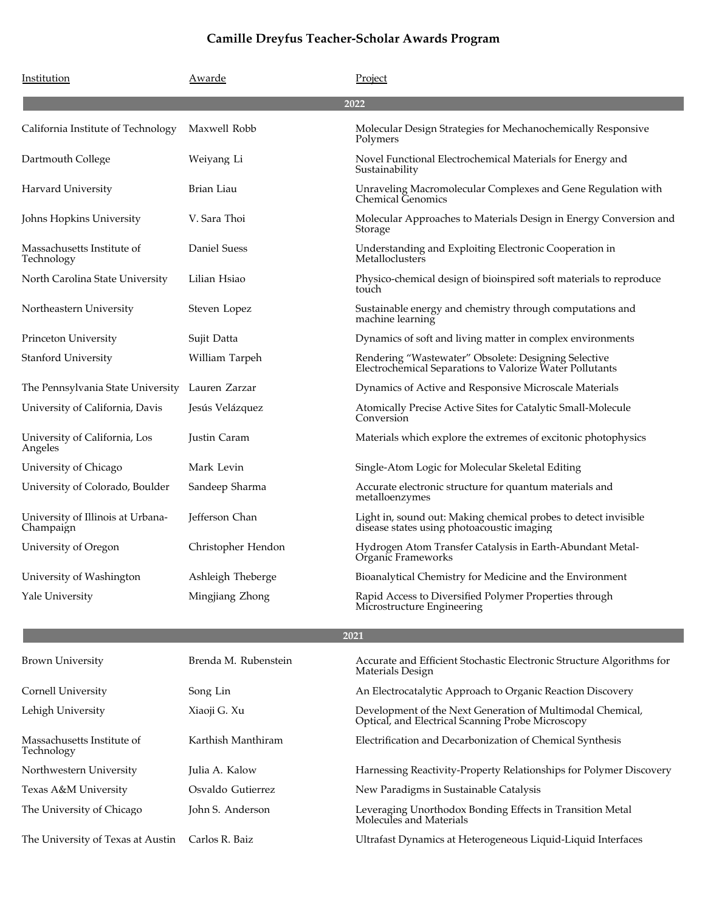| Institution                                     | Awarde               | Project                                                                                                          |
|-------------------------------------------------|----------------------|------------------------------------------------------------------------------------------------------------------|
|                                                 |                      | 2022                                                                                                             |
| California Institute of Technology              | Maxwell Robb         | Molecular Design Strategies for Mechanochemically Responsive<br>Polymers                                         |
| Dartmouth College                               | Weiyang Li           | Novel Functional Electrochemical Materials for Energy and<br>Sustainability                                      |
| Harvard University                              | Brian Liau           | Unraveling Macromolecular Complexes and Gene Regulation with<br><b>Chemical Genomics</b>                         |
| Johns Hopkins University                        | V. Sara Thoi         | Molecular Approaches to Materials Design in Energy Conversion and<br>Storage                                     |
| Massachusetts Institute of<br>Technology        | Daniel Suess         | Understanding and Exploiting Electronic Cooperation in<br>Metalloclusters                                        |
| North Carolina State University                 | Lilian Hsiao         | Physico-chemical design of bioinspired soft materials to reproduce<br>touch                                      |
| Northeastern University                         | Steven Lopez         | Sustainable energy and chemistry through computations and<br>machine learning                                    |
| Princeton University                            | Sujit Datta          | Dynamics of soft and living matter in complex environments                                                       |
| Stanford University                             | William Tarpeh       | Rendering "Wastewater" Obsolete: Designing Selective<br>Electrochemical Separations to Valorize Water Pollutants |
| The Pennsylvania State University Lauren Zarzar |                      | Dynamics of Active and Responsive Microscale Materials                                                           |
| University of California, Davis                 | Jesús Velázquez      | Atomically Precise Active Sites for Catalytic Small-Molecule<br>Conversion                                       |
| University of California, Los<br>Angeles        | Justin Caram         | Materials which explore the extremes of excitonic photophysics                                                   |
| University of Chicago                           | Mark Levin           | Single-Atom Logic for Molecular Skeletal Editing                                                                 |
| University of Colorado, Boulder                 | Sandeep Sharma       | Accurate electronic structure for quantum materials and<br>metalloenzymes                                        |
| University of Illinois at Urbana-<br>Champaign  | Jefferson Chan       | Light in, sound out: Making chemical probes to detect invisible<br>disease states using photoacoustic imaging    |
| University of Oregon                            | Christopher Hendon   | Hydrogen Atom Transfer Catalysis in Earth-Abundant Metal-<br>Organic Frameworks                                  |
| University of Washington                        | Ashleigh Theberge    | Bioanalytical Chemistry for Medicine and the Environment                                                         |
| Yale University                                 | Mingjiang Zhong      | Rapid Access to Diversified Polymer Properties through<br>Microstructure Engineering                             |
|                                                 |                      | 2021                                                                                                             |
| <b>Brown University</b>                         | Brenda M. Rubenstein | Accurate and Efficient Stochastic Electronic Structure Algorithms for<br>Materials Design                        |
| Cornell University                              | Song Lin             | An Electrocatalytic Approach to Organic Reaction Discovery                                                       |
| Lehigh University                               | Xiaoji G. Xu         | Development of the Next Generation of Multimodal Chemical,<br>Optical, and Electrical Scanning Probe Microscopy  |
| Massachusetts Institute of<br>Technology        | Karthish Manthiram   | Electrification and Decarbonization of Chemical Synthesis                                                        |
| Northwestern University                         | Julia A. Kalow       | Harnessing Reactivity-Property Relationships for Polymer Discovery                                               |
| Texas A&M University                            | Osvaldo Gutierrez    | New Paradigms in Sustainable Catalysis                                                                           |
| The University of Chicago                       | John S. Anderson     | Leveraging Unorthodox Bonding Effects in Transition Metal<br>Molecules and Materials                             |
| The University of Texas at Austin               | Carlos R. Baiz       | Ultrafast Dynamics at Heterogeneous Liquid-Liquid Interfaces                                                     |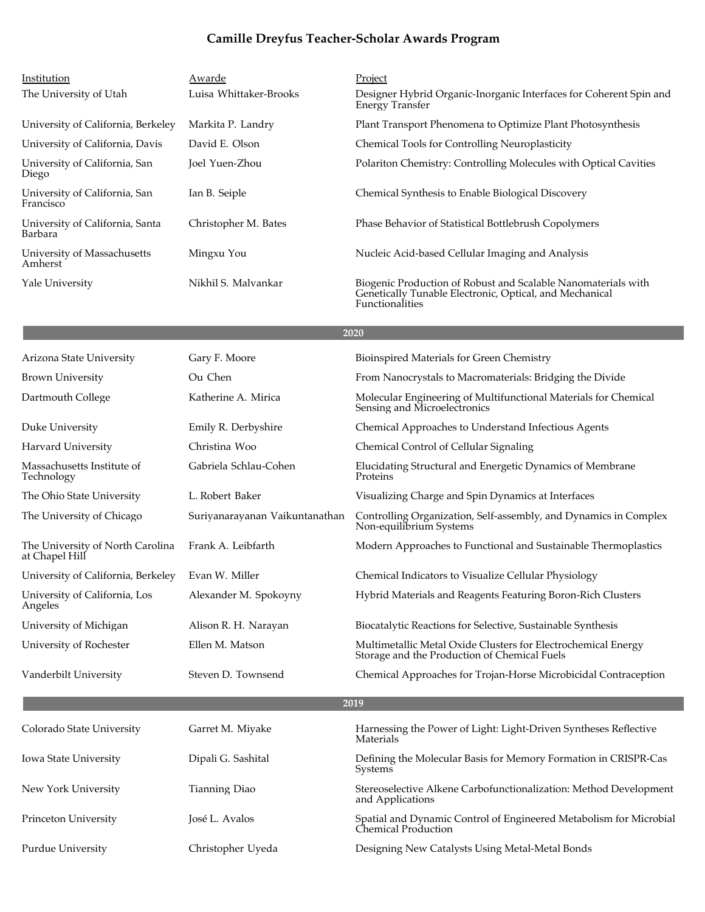| Institution                                | Awarde                 | Project                                                                                                                                     |
|--------------------------------------------|------------------------|---------------------------------------------------------------------------------------------------------------------------------------------|
| The University of Utah                     | Luisa Whittaker-Brooks | Designer Hybrid Organic-Inorganic Interfaces for Coherent Spin and<br>Energy Transfer                                                       |
| University of California, Berkeley         | Markita P. Landry      | Plant Transport Phenomena to Optimize Plant Photosynthesis                                                                                  |
| University of California, Davis            | David E. Olson         | <b>Chemical Tools for Controlling Neuroplasticity</b>                                                                                       |
| University of California, San<br>Diego     | Joel Yuen-Zhou         | Polariton Chemistry: Controlling Molecules with Optical Cavities                                                                            |
| University of California, San<br>Francisco | Ian B. Seiple          | Chemical Synthesis to Enable Biological Discovery                                                                                           |
| University of California, Santa<br>Barbara | Christopher M. Bates   | Phase Behavior of Statistical Bottlebrush Copolymers                                                                                        |
| University of Massachusetts<br>Amherst     | Mingxu You             | Nucleic Acid-based Cellular Imaging and Analysis                                                                                            |
| Yale University                            | Nikhil S. Malyankar    | Biogenic Production of Robust and Scalable Nanomaterials with<br>Genetically Tunable Electronic, Optical, and Mechanical<br>Functionalities |

| Arizona State University                           | Gary F. Moore                  | Bioinspired Materials for Green Chemistry                                                                     |
|----------------------------------------------------|--------------------------------|---------------------------------------------------------------------------------------------------------------|
| <b>Brown University</b>                            | Ou Chen                        | From Nanocrystals to Macromaterials: Bridging the Divide                                                      |
| Dartmouth College                                  | Katherine A. Mirica            | Molecular Engineering of Multifunctional Materials for Chemical<br>Sensing and Microelectronics               |
| Duke University                                    | Emily R. Derbyshire            | Chemical Approaches to Understand Infectious Agents                                                           |
| Harvard University                                 | Christina Woo                  | Chemical Control of Cellular Signaling                                                                        |
| Massachusetts Institute of<br>Technology           | Gabriela Schlau-Cohen          | Elucidating Structural and Energetic Dynamics of Membrane<br>Proteins                                         |
| The Ohio State University                          | L. Robert Baker                | Visualizing Charge and Spin Dynamics at Interfaces                                                            |
| The University of Chicago                          | Suriyanarayanan Vaikuntanathan | Controlling Organization, Self-assembly, and Dynamics in Complex<br>Non-equilibrium Systems                   |
| The University of North Carolina<br>at Chapel Hill | Frank A. Leibfarth             | Modern Approaches to Functional and Sustainable Thermoplastics                                                |
| University of California, Berkeley                 | Evan W. Miller                 | Chemical Indicators to Visualize Cellular Physiology                                                          |
| University of California, Los<br>Angeles           | Alexander M. Spokoyny          | Hybrid Materials and Reagents Featuring Boron-Rich Clusters                                                   |
| University of Michigan                             | Alison R. H. Narayan           | Biocatalytic Reactions for Selective, Sustainable Synthesis                                                   |
| University of Rochester                            | Ellen M. Matson                | Multimetallic Metal Oxide Clusters for Electrochemical Energy<br>Storage and the Production of Chemical Fuels |
| Vanderbilt University                              | Steven D. Townsend             | Chemical Approaches for Trojan-Horse Microbicidal Contraception                                               |
|                                                    |                                | 2019                                                                                                          |
| Colorado State University                          | Garret M. Miyake               | Harnessing the Power of Light: Light-Driven Syntheses Reflective<br>Materials                                 |
| Iowa State University                              | Dipali G. Sashital             | Defining the Molecular Basis for Memory Formation in CRISPR-Cas<br>Systems                                    |
| New York University                                | Tianning Diao                  | Stereoselective Alkene Carbofunctionalization: Method Development<br>and Applications                         |
| Princeton University                               | José L. Avalos                 | Spatial and Dynamic Control of Engineered Metabolism for Microbial<br>Chemical Production                     |
| Purdue University                                  | Christopher Uyeda              | Designing New Catalysts Using Metal-Metal Bonds                                                               |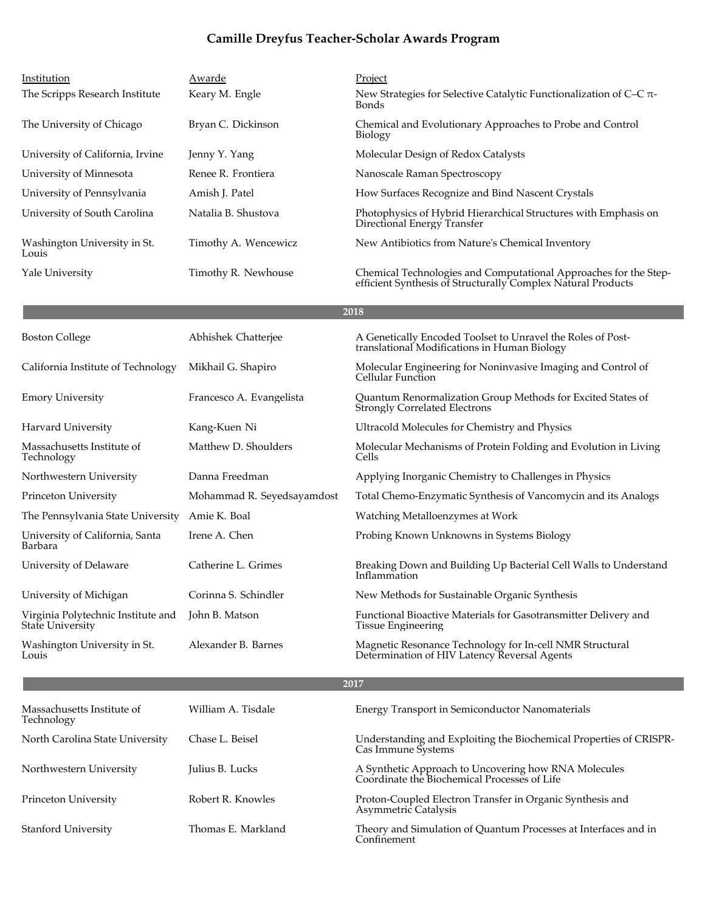| Institution                                                   | Awarde                     | Project                                                                                                                          |
|---------------------------------------------------------------|----------------------------|----------------------------------------------------------------------------------------------------------------------------------|
| The Scripps Research Institute                                | Keary M. Engle             | New Strategies for Selective Catalytic Functionalization of C-C $\pi$ -<br>Bonds                                                 |
| The University of Chicago                                     | Bryan C. Dickinson         | Chemical and Evolutionary Approaches to Probe and Control<br><b>Biology</b>                                                      |
| University of California, Irvine                              | Jenny Y. Yang              | Molecular Design of Redox Catalysts                                                                                              |
| University of Minnesota                                       | Renee R. Frontiera         | Nanoscale Raman Spectroscopy                                                                                                     |
| University of Pennsylvania                                    | Amish J. Patel             | How Surfaces Recognize and Bind Nascent Crystals                                                                                 |
| University of South Carolina                                  | Natalia B. Shustova        | Photophysics of Hybrid Hierarchical Structures with Emphasis on<br>Directional Energy Transfer                                   |
| Washington University in St.<br>Louis                         | Timothy A. Wencewicz       | New Antibiotics from Nature's Chemical Inventory                                                                                 |
| Yale University                                               | Timothy R. Newhouse        | Chemical Technologies and Computational Approaches for the Step-<br>efficient Synthesis of Structurally Complex Natural Products |
|                                                               |                            | 2018                                                                                                                             |
| <b>Boston College</b>                                         | Abhishek Chatterjee        | A Genetically Encoded Toolset to Unravel the Roles of Post-<br>translational Modifications in Human Biology                      |
| California Institute of Technology                            | Mikhail G. Shapiro         | Molecular Engineering for Noninvasive Imaging and Control of<br>Cellular Function                                                |
| <b>Emory University</b>                                       | Francesco A. Evangelista   | Quantum Renormalization Group Methods for Excited States of<br><b>Strongly Correlated Electrons</b>                              |
| Harvard University                                            | Kang-Kuen Ni               | Ultracold Molecules for Chemistry and Physics                                                                                    |
| Massachusetts Institute of<br>Technology                      | Matthew D. Shoulders       | Molecular Mechanisms of Protein Folding and Evolution in Living<br>Cells                                                         |
| Northwestern University                                       | Danna Freedman             | Applying Inorganic Chemistry to Challenges in Physics                                                                            |
| Princeton University                                          | Mohammad R. Seyedsayamdost | Total Chemo-Enzymatic Synthesis of Vancomycin and its Analogs                                                                    |
| The Pennsylvania State University                             | Amie K. Boal               | Watching Metalloenzymes at Work                                                                                                  |
| University of California, Santa<br>Barbara                    | Irene A. Chen              | Probing Known Unknowns in Systems Biology                                                                                        |
| University of Delaware                                        | Catherine L. Grimes        | Breaking Down and Building Up Bacterial Cell Walls to Understand<br>Inflammation                                                 |
| University of Michigan                                        | Corinna S. Schindler       | New Methods for Sustainable Organic Synthesis                                                                                    |
| Virginia Polytechnic Institute and<br><b>State University</b> | John B. Matson             | Functional Bioactive Materials for Gasotransmitter Delivery and<br><b>Tissue Engineering</b>                                     |
| Washington University in St.<br>Louis                         | Alexander B. Barnes        | Magnetic Resonance Technology for In-cell NMR Structural<br>Determination of HIV Latency Reversal Agents                         |
|                                                               |                            | 2017                                                                                                                             |
| Massachusetts Institute of<br>Technology                      | William A. Tisdale         | Energy Transport in Semiconductor Nanomaterials                                                                                  |
| North Carolina State University                               | Chase L. Beisel            | Understanding and Exploiting the Biochemical Properties of CRISPR-<br>Cas Immune Systems                                         |
| Northwestern University                                       | Julius B. Lucks            | A Synthetic Approach to Uncovering how RNA Molecules<br>Coordinate the Biochemical Processes of Life                             |
| Princeton University                                          | Robert R. Knowles          | Proton-Coupled Electron Transfer in Organic Synthesis and<br>Asymmetric Catalysis                                                |
| Stanford University                                           | Thomas E. Markland         | Theory and Simulation of Quantum Processes at Interfaces and in<br>Confinement                                                   |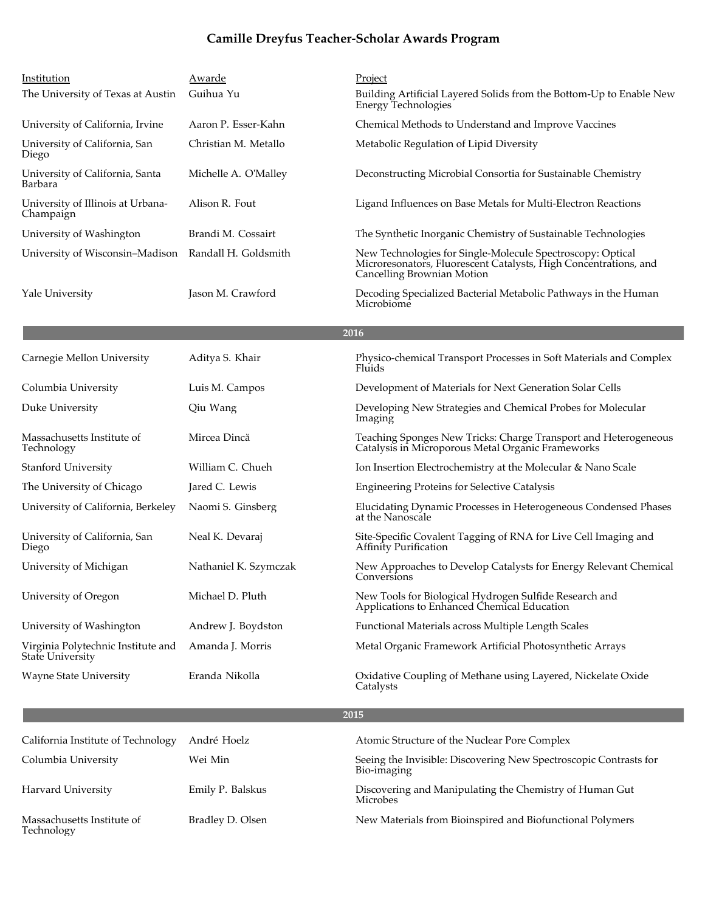| Institution                                            | Awarde                | Project                                                                                                                                                      |
|--------------------------------------------------------|-----------------------|--------------------------------------------------------------------------------------------------------------------------------------------------------------|
| The University of Texas at Austin                      | Guihua Yu             | Building Artificial Layered Solids from the Bottom-Up to Enable New<br><b>Energy Technologies</b>                                                            |
| University of California, Irvine                       | Aaron P. Esser-Kahn   | Chemical Methods to Understand and Improve Vaccines                                                                                                          |
| University of California, San<br>Diego                 | Christian M. Metallo  | Metabolic Regulation of Lipid Diversity                                                                                                                      |
| University of California, Santa<br>Barbara             | Michelle A. O'Malley  | Deconstructing Microbial Consortia for Sustainable Chemistry                                                                                                 |
| University of Illinois at Urbana-<br>Champaign         | Alison R. Fout        | Ligand Influences on Base Metals for Multi-Electron Reactions                                                                                                |
| University of Washington                               | Brandi M. Cossairt    | The Synthetic Inorganic Chemistry of Sustainable Technologies                                                                                                |
| University of Wisconsin-Madison                        | Randall H. Goldsmith  | New Technologies for Single-Molecule Spectroscopy: Optical<br>Microresonators, Fluorescent Catalysts, High Concentrations, and<br>Cancelling Brownian Motion |
| Yale University                                        | Jason M. Crawford     | Decoding Specialized Bacterial Metabolic Pathways in the Human<br>Microbiome                                                                                 |
|                                                        |                       | 2016                                                                                                                                                         |
| Carnegie Mellon University                             | Aditya S. Khair       | Physico-chemical Transport Processes in Soft Materials and Complex<br>Fluids                                                                                 |
| Columbia University                                    | Luis M. Campos        | Development of Materials for Next Generation Solar Cells                                                                                                     |
| Duke University                                        | Qiu Wang              | Developing New Strategies and Chemical Probes for Molecular<br>Imaging                                                                                       |
| Massachusetts Institute of<br>Technology               | Mircea Dincă          | Teaching Sponges New Tricks: Charge Transport and Heterogeneous<br>Catalysis in Microporous Metal Organic Frameworks                                         |
| <b>Stanford University</b>                             | William C. Chueh      | Ion Insertion Electrochemistry at the Molecular & Nano Scale                                                                                                 |
| The University of Chicago                              | Jared C. Lewis        | <b>Engineering Proteins for Selective Catalysis</b>                                                                                                          |
| University of California, Berkeley                     | Naomi S. Ginsberg     | Elucidating Dynamic Processes in Heterogeneous Condensed Phases<br>at the Nanoscale                                                                          |
| University of California, San<br>Diego                 | Neal K. Devaraj       | Site-Specific Covalent Tagging of RNA for Live Cell Imaging and<br>Affinity Purification                                                                     |
| University of Michigan                                 | Nathaniel K. Szymczak | New Approaches to Develop Catalysts for Energy Relevant Chemical<br>Conversions                                                                              |
| University of Oregon                                   | Michael D. Pluth      | New Tools for Biological Hydrogen Sulfide Research and<br>Applications to Enhanced Chemical Education                                                        |
| University of Washington                               | Andrew J. Boydston    | Functional Materials across Multiple Length Scales                                                                                                           |
| Virginia Polytechnic Institute and<br>State University | Amanda J. Morris      | Metal Organic Framework Artificial Photosynthetic Arrays                                                                                                     |
| <b>Wayne State University</b>                          | Eranda Nikolla        | Oxidative Coupling of Methane using Layered, Nickelate Oxide<br>Catalysts                                                                                    |
|                                                        |                       | 2015                                                                                                                                                         |
| California Institute of Technology                     | André Hoelz           | Atomic Structure of the Nuclear Pore Complex                                                                                                                 |
| Columbia University                                    | Wei Min               | Seeing the Invisible: Discovering New Spectroscopic Contrasts for<br>Bio-imaging                                                                             |
| Harvard University                                     | Emily P. Balskus      | Discovering and Manipulating the Chemistry of Human Gut<br>Microbes                                                                                          |
| Massachusetts Institute of<br>Technology               | Bradley D. Olsen      | New Materials from Bioinspired and Biofunctional Polymers                                                                                                    |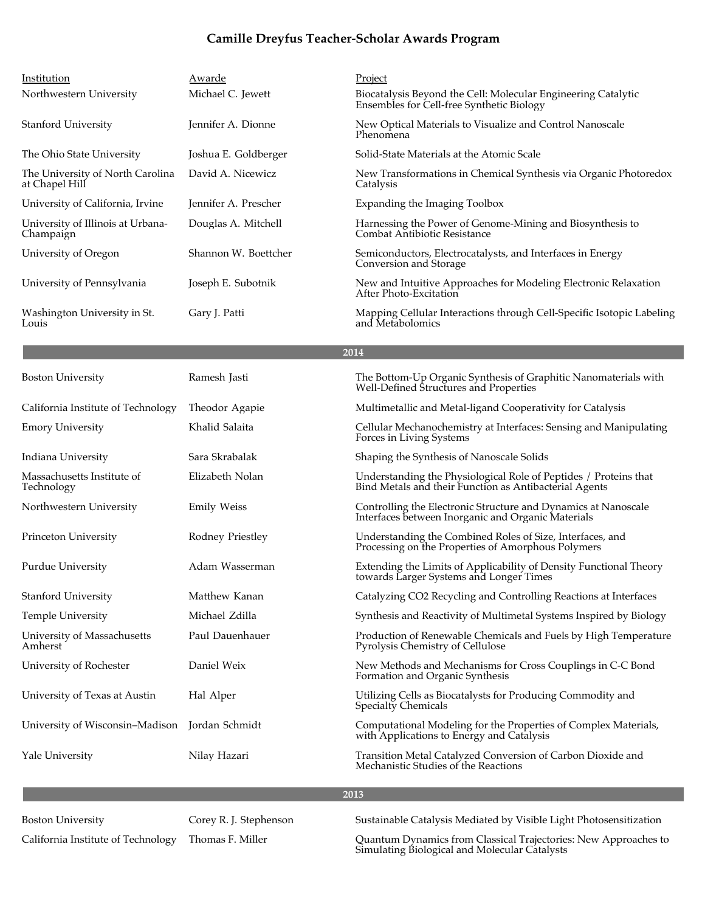| Institution                                        | Awarde               | Project                                                                                                    |
|----------------------------------------------------|----------------------|------------------------------------------------------------------------------------------------------------|
| Northwestern University                            | Michael C. Jewett    | Biocatalysis Beyond the Cell: Molecular Engineering Catalytic<br>Ensembles for Cell-free Synthetic Biology |
| <b>Stanford University</b>                         | Jennifer A. Dionne   | New Optical Materials to Visualize and Control Nanoscale<br>Phenomena                                      |
| The Ohio State University                          | Joshua E. Goldberger | Solid-State Materials at the Atomic Scale                                                                  |
| The University of North Carolina<br>at Chapel Hill | David A. Nicewicz    | New Transformations in Chemical Synthesis via Organic Photoredox<br>Catalysis                              |
| University of California, Irvine                   | Jennifer A. Prescher | Expanding the Imaging Toolbox                                                                              |
| University of Illinois at Urbana-<br>Champaign     | Douglas A. Mitchell  | Harnessing the Power of Genome-Mining and Biosynthesis to<br>Combat Antibiotic Resistance                  |
| University of Oregon                               | Shannon W. Boettcher | Semiconductors, Electrocatalysts, and Interfaces in Energy<br>Conversion and Storage                       |
| University of Pennsylvania                         | Joseph E. Subotnik   | New and Intuitive Approaches for Modeling Electronic Relaxation<br>After Photo-Excitation                  |
| Washington University in St.<br>Louis              | Gary J. Patti        | Mapping Cellular Interactions through Cell-Specific Isotopic Labeling<br>and Metabolomics                  |

| <b>Boston University</b>                       | Ramesh Jasti       | The Bottom-Up Organic Synthesis of Graphitic Nanomaterials with<br>Well-Defined Structures and Properties                  |
|------------------------------------------------|--------------------|----------------------------------------------------------------------------------------------------------------------------|
| California Institute of Technology             | Theodor Agapie     | Multimetallic and Metal-ligand Cooperativity for Catalysis                                                                 |
| <b>Emory University</b>                        | Khalid Salaita     | Cellular Mechanochemistry at Interfaces: Sensing and Manipulating<br>Forces in Living Systems                              |
| Indiana University                             | Sara Skrabalak     | Shaping the Synthesis of Nanoscale Solids                                                                                  |
| Massachusetts Institute of<br>Technology       | Elizabeth Nolan    | Understanding the Physiological Role of Peptides / Proteins that<br>Bind Metals and their Function as Antibacterial Agents |
| Northwestern University                        | <b>Emily Weiss</b> | Controlling the Electronic Structure and Dynamics at Nanoscale<br>Interfaces between Inorganic and Organic Materials       |
| Princeton University                           | Rodney Priestley   | Understanding the Combined Roles of Size, Interfaces, and<br>Processing on the Properties of Amorphous Polymers            |
| Purdue University                              | Adam Wasserman     | Extending the Limits of Applicability of Density Functional Theory<br>towards Larger Systems and Longer Times              |
| <b>Stanford University</b>                     | Matthew Kanan      | Catalyzing CO2 Recycling and Controlling Reactions at Interfaces                                                           |
| <b>Temple University</b>                       | Michael Zdilla     | Synthesis and Reactivity of Multimetal Systems Inspired by Biology                                                         |
| University of Massachusetts<br>Amherst         | Paul Dauenhauer    | Production of Renewable Chemicals and Fuels by High Temperature<br>Pyrolysis Chemistry of Cellulose                        |
| University of Rochester                        | Daniel Weix        | New Methods and Mechanisms for Cross Couplings in C-C Bond<br>Formation and Organic Synthesis                              |
| University of Texas at Austin                  | Hal Alper          | Utilizing Cells as Biocatalysts for Producing Commodity and<br>Specialty Chemicals                                         |
| University of Wisconsin–Madison Jordan Schmidt |                    | Computational Modeling for the Properties of Complex Materials,<br>with Applications to Energy and Catalysis               |
| Yale University                                | Nilay Hazari       | Transition Metal Catalyzed Conversion of Carbon Dioxide and<br>Mechanistic Studies of the Reactions                        |
|                                                |                    |                                                                                                                            |

**2013**

Thomas F. Miller

Boston University Corey R. J. Stephenson Sustainable Catalysis Mediated by Visible Light Photosensitization

California Institute of Technology  $\;$  Thomas F. Miller  $\;$  Quantum Dynamics from Classical Trajectories: New Approaches to Simulating Biological and Molecular Catalysts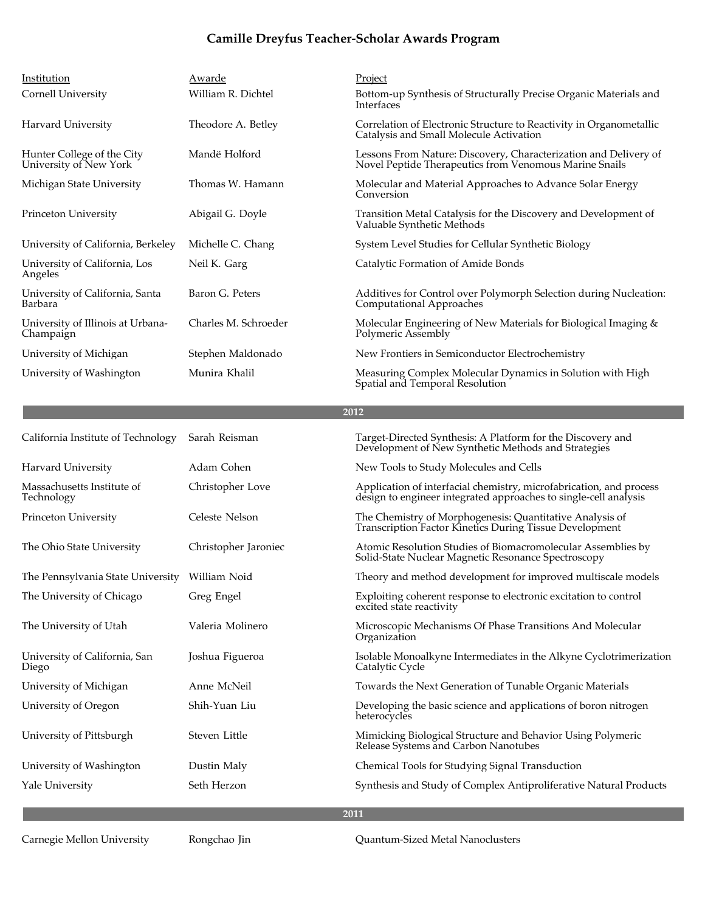| Institution                                          | Awarde               | Project                                                                                                                                 |
|------------------------------------------------------|----------------------|-----------------------------------------------------------------------------------------------------------------------------------------|
| Cornell University                                   | William R. Dichtel   | Bottom-up Synthesis of Structurally Precise Organic Materials and<br>Interfaces                                                         |
| Harvard University                                   | Theodore A. Betley   | Correlation of Electronic Structure to Reactivity in Organometallic<br>Catalysis and Small Molecule Activation                          |
| Hunter College of the City<br>University of New York | Mandë Holford        | Lessons From Nature: Discovery, Characterization and Delivery of<br>Novel Peptide Therapeutics from Venomous Marine Snails              |
| Michigan State University                            | Thomas W. Hamann     | Molecular and Material Approaches to Advance Solar Energy<br>Conversion                                                                 |
| Princeton University                                 | Abigail G. Doyle     | Transition Metal Catalysis for the Discovery and Development of<br>Valuable Synthetic Methods                                           |
| University of California, Berkeley                   | Michelle C. Chang    | System Level Studies for Cellular Synthetic Biology                                                                                     |
| University of California, Los<br>Angeles             | Neil K. Garg         | Catalytic Formation of Amide Bonds                                                                                                      |
| University of California, Santa<br>Barbara           | Baron G. Peters      | Additives for Control over Polymorph Selection during Nucleation:<br>Computational Approaches                                           |
| University of Illinois at Urbana-<br>Champaign       | Charles M. Schroeder | Molecular Engineering of New Materials for Biological Imaging &<br>Polymeric Assembly                                                   |
| University of Michigan                               | Stephen Maldonado    | New Frontiers in Semiconductor Electrochemistry                                                                                         |
| University of Washington                             | Munira Khalil        | Measuring Complex Molecular Dynamics in Solution with High<br>Spatial and Temporal Resolution                                           |
|                                                      |                      | 2012                                                                                                                                    |
|                                                      |                      |                                                                                                                                         |
| California Institute of Technology                   | Sarah Reisman        | Target-Directed Synthesis: A Platform for the Discovery and<br>Development of New Synthetic Methods and Strategies                      |
| Harvard University                                   | Adam Cohen           | New Tools to Study Molecules and Cells                                                                                                  |
| Massachusetts Institute of<br>Technology             | Christopher Love     | Application of interfacial chemistry, microfabrication, and process<br>design to engineer integrated approaches to single-cell analysis |
| Princeton University                                 | Celeste Nelson       | The Chemistry of Morphogenesis: Quantitative Analysis of<br>Transcription Factor Kinetics During Tissue Development                     |
| The Ohio State University                            | Christopher Jaroniec | Atomic Resolution Studies of Biomacromolecular Assemblies by<br>Solid-State Nuclear Magnetic Resonance Spectroscopy                     |
| The Pennsylvania State University William Noid       |                      | Theory and method development for improved multiscale models                                                                            |
| The University of Chicago                            | Greg Engel           | Exploiting coherent response to electronic excitation to control<br>excited state reactivity                                            |
| The University of Utah                               | Valeria Molinero     | Microscopic Mechanisms Of Phase Transitions And Molecular<br>Organization                                                               |
| University of California, San<br>Diego               | Joshua Figueroa      | Isolable Monoalkyne Intermediates in the Alkyne Cyclotrimerization<br>Catalytic Cycle                                                   |
| University of Michigan                               | Anne McNeil          | Towards the Next Generation of Tunable Organic Materials                                                                                |
| University of Oregon                                 | Shih-Yuan Liu        | Developing the basic science and applications of boron nitrogen<br>heterocycles                                                         |
| University of Pittsburgh                             | Steven Little        | Mimicking Biological Structure and Behavior Using Polymeric<br>Release Systems and Carbon Nanotubes                                     |
| University of Washington                             | Dustin Maly          | Chemical Tools for Studying Signal Transduction                                                                                         |
| Yale University                                      | Seth Herzon          | Synthesis and Study of Complex Antiproliferative Natural Products                                                                       |
|                                                      |                      |                                                                                                                                         |

Carnegie Mellon University Rongchao Jin Quantum-Sized Metal Nanoclusters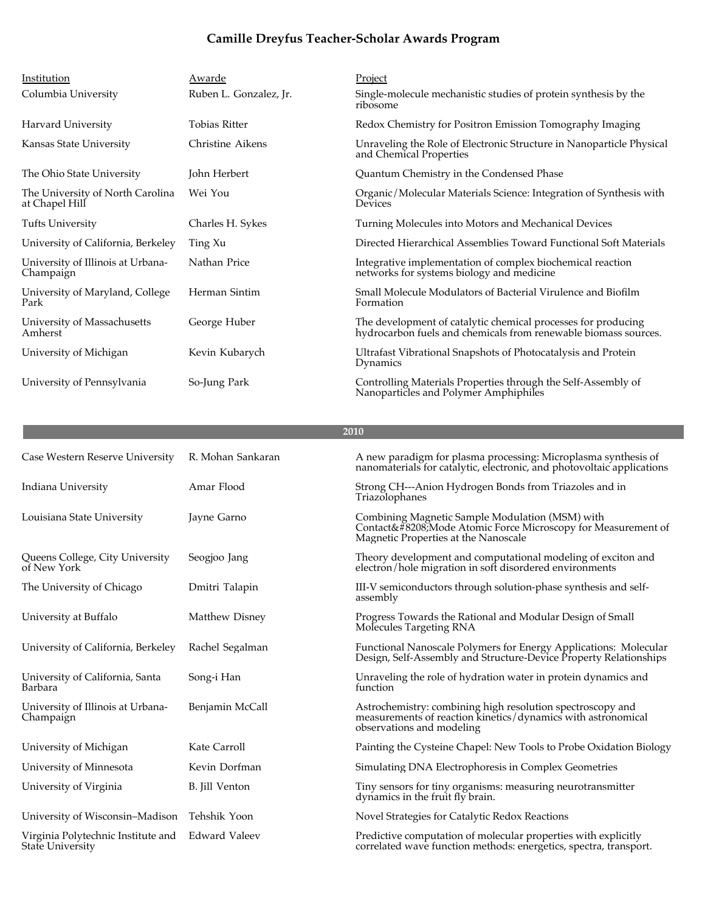| Institution                                        | Awarde                 | Project                                                                                                                          |
|----------------------------------------------------|------------------------|----------------------------------------------------------------------------------------------------------------------------------|
| Columbia University                                | Ruben L. Gonzalez, Jr. | Single-molecule mechanistic studies of protein synthesis by the<br>ribosome                                                      |
| Harvard University                                 | <b>Tobias Ritter</b>   | Redox Chemistry for Positron Emission Tomography Imaging                                                                         |
| Kansas State University                            | Christine Aikens       | Unraveling the Role of Electronic Structure in Nanoparticle Physical<br>and Chemical Properties                                  |
| The Ohio State University                          | John Herbert           | Quantum Chemistry in the Condensed Phase                                                                                         |
| The University of North Carolina<br>at Chapel Hill | Wei You                | Organic/Molecular Materials Science: Integration of Synthesis with<br>Devices                                                    |
| <b>Tufts University</b>                            | Charles H. Sykes       | Turning Molecules into Motors and Mechanical Devices                                                                             |
| University of California, Berkeley                 | Ting Xu                | Directed Hierarchical Assemblies Toward Functional Soft Materials                                                                |
| University of Illinois at Urbana-<br>Champaign     | Nathan Price           | Integrative implementation of complex biochemical reaction<br>networks for systems biology and medicine                          |
| University of Maryland, College<br>Park            | Herman Sintim          | Small Molecule Modulators of Bacterial Virulence and Biofilm<br>Formation                                                        |
| University of Massachusetts<br>Amherst             | George Huber           | The development of catalytic chemical processes for producing<br>hydrocarbon fuels and chemicals from renewable biomass sources. |
| University of Michigan                             | Kevin Kubarych         | Ultrafast Vibrational Snapshots of Photocatalysis and Protein<br>Dynamics                                                        |
| University of Pennsylvania                         | So-Jung Park           | Controlling Materials Properties through the Self-Assembly of<br>Nanoparticles and Polymer Amphiphiles                           |

| Case Western Reserve University                               | R. Mohan Sankaran    | A new paradigm for plasma processing: Microplasma synthesis of<br>nanomaterials for catalytic, electronic, and photovoltaic applications                |
|---------------------------------------------------------------|----------------------|---------------------------------------------------------------------------------------------------------------------------------------------------------|
| Indiana University                                            | Amar Flood           | Strong CH---Anion Hydrogen Bonds from Triazoles and in<br>Triazolophanes                                                                                |
| Louisiana State University                                    | Javne Garno          | Combining Magnetic Sample Modulation (MSM) with<br>Contact‐, Mode Atomic Force Microscopy for Measurement of<br>Magnetic Properties at the Nanoscale    |
| Queens College, City University<br>of New York                | Seogjoo Jang         | Theory development and computational modeling of exciton and<br>electron/hole migration in soft disordered environments                                 |
| The University of Chicago                                     | Dmitri Talapin       | III-V semiconductors through solution-phase synthesis and self-<br>assembly                                                                             |
| University at Buffalo                                         | Matthew Disney       | Progress Towards the Rational and Modular Design of Small<br>Molecules Targeting RNA                                                                    |
| University of California, Berkeley                            | Rachel Segalman      | Functional Nanoscale Polymers for Energy Applications: Molecular<br>Design, Self-Assembly and Structure-Device Property Relationships                   |
| University of California, Santa<br>Barbara                    | Song-i Han           | Unraveling the role of hydration water in protein dynamics and<br>function                                                                              |
| University of Illinois at Urbana-<br>Champaign                | Benjamin McCall      | Astrochemistry: combining high resolution spectroscopy and<br>measurements of reaction kinetics/dynamics with astronomical<br>observations and modeling |
| University of Michigan                                        | Kate Carroll         | Painting the Cysteine Chapel: New Tools to Probe Oxidation Biology                                                                                      |
| University of Minnesota                                       | Kevin Dorfman        | Simulating DNA Electrophoresis in Complex Geometries                                                                                                    |
| University of Virginia                                        | B. Jill Venton       | Tiny sensors for tiny organisms: measuring neurotransmitter<br>dynamics in the fruit fly brain.                                                         |
| University of Wisconsin-Madison Tehshik Yoon                  |                      | Novel Strategies for Catalytic Redox Reactions                                                                                                          |
| Virginia Polytechnic Institute and<br><b>State University</b> | <b>Edward Valeev</b> | Predictive computation of molecular properties with explicitly<br>correlated wave function methods: energetics, spectra, transport.                     |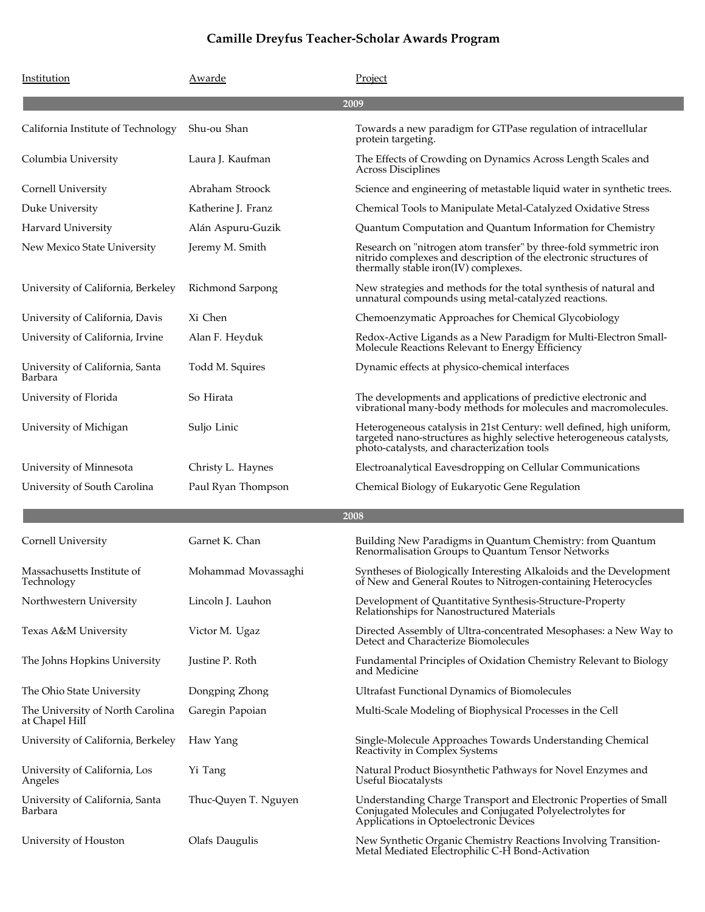| Institution                                        | Awarde                | Project                                                                                                                                                                                      |
|----------------------------------------------------|-----------------------|----------------------------------------------------------------------------------------------------------------------------------------------------------------------------------------------|
|                                                    |                       | 2009                                                                                                                                                                                         |
| California Institute of Technology                 | Shu-ou Shan           | Towards a new paradigm for GTPase regulation of intracellular<br>protein targeting.                                                                                                          |
| Columbia University                                | Laura J. Kaufman      | The Effects of Crowding on Dynamics Across Length Scales and<br><b>Across Disciplines</b>                                                                                                    |
| Cornell University                                 | Abraham Stroock       | Science and engineering of metastable liquid water in synthetic trees.                                                                                                                       |
| Duke University                                    | Katherine J. Franz    | Chemical Tools to Manipulate Metal-Catalyzed Oxidative Stress                                                                                                                                |
| Harvard University                                 | Alán Aspuru-Guzik     | Quantum Computation and Quantum Information for Chemistry                                                                                                                                    |
| New Mexico State University                        | Jeremy M. Smith       | Research on "nitrogen atom transfer" by three-fold symmetric iron<br>nitrido complexes and description of the electronic structures of<br>thermally stable iron(IV) complexes.               |
| University of California, Berkeley                 | Richmond Sarpong      | New strategies and methods for the total synthesis of natural and<br>unnatural compounds using metal-catalyzed reactions.                                                                    |
| University of California, Davis                    | Xi Chen               | Chemoenzymatic Approaches for Chemical Glycobiology                                                                                                                                          |
| University of California, Irvine                   | Alan F. Heyduk        | Redox-Active Ligands as a New Paradigm for Multi-Electron Small-<br>Molecule Reactions Relevant to Energy Efficiency                                                                         |
| University of California, Santa<br>Barbara         | Todd M. Squires       | Dynamic effects at physico-chemical interfaces                                                                                                                                               |
| University of Florida                              | So Hirata             | The developments and applications of predictive electronic and<br>vibrational many-body methods for molecules and macromolecules.                                                            |
| University of Michigan                             | Suljo Linic           | Heterogeneous catalysis in 21st Century: well defined, high uniform,<br>targeted nano-structures as highly selective heterogeneous catalysts,<br>photo-catalysts, and characterization tools |
| University of Minnesota                            | Christy L. Haynes     | Electroanalytical Eavesdropping on Cellular Communications                                                                                                                                   |
| University of South Carolina                       | Paul Ryan Thompson    | Chemical Biology of Eukaryotic Gene Regulation                                                                                                                                               |
|                                                    |                       | 2008                                                                                                                                                                                         |
| Cornell University                                 | Garnet K. Chan        | Building New Paradigms in Quantum Chemistry: from Quantum<br>Renormalisation Groups to Quantum Tensor Networks                                                                               |
| Massachusetts Institute of<br>Technology           | Mohammad Movassaghi   | Syntheses of Biologically Interesting Alkaloids and the Development<br>of New and General Routes to Nitrogen-containing Heterocycles                                                         |
| Northwestern University                            | Lincoln J. Lauhon     | Development of Quantitative Synthesis-Structure-Property<br>Relationships for Nanostructured Materials                                                                                       |
| Texas A&M University                               | Victor M. Ugaz        | Directed Assembly of Ultra-concentrated Mesophases: a New Way to<br>Detect and Characterize Biomolecules                                                                                     |
| The Johns Hopkins University                       | Justine P. Roth       | Fundamental Principles of Oxidation Chemistry Relevant to Biology<br>and Medicine                                                                                                            |
| The Ohio State University                          | Dongping Zhong        | Ultrafast Functional Dynamics of Biomolecules                                                                                                                                                |
| The University of North Carolina<br>at Chapel Hill | Garegin Papoian       | Multi-Scale Modeling of Biophysical Processes in the Cell                                                                                                                                    |
| University of California, Berkeley                 | Haw Yang              | Single-Molecule Approaches Towards Understanding Chemical<br>Reactivity in Complex Systems                                                                                                   |
| University of California, Los<br>Angeles           | Yi Tang               | Natural Product Biosynthetic Pathways for Novel Enzymes and<br>Useful Biocatalysts                                                                                                           |
| University of California, Santa<br>Barbara         | Thuc-Quyen T. Nguyen  | Understanding Charge Transport and Electronic Properties of Small<br>Conjugated Molecules and Conjugated Polyelectrolytes for<br>Applications in Optoelectronic Devices                      |
| University of Houston                              | <b>Olafs Daugulis</b> | New Synthetic Organic Chemistry Reactions Involving Transition-<br>Metal Mediated Electrophilic C-H Bond-Activation                                                                          |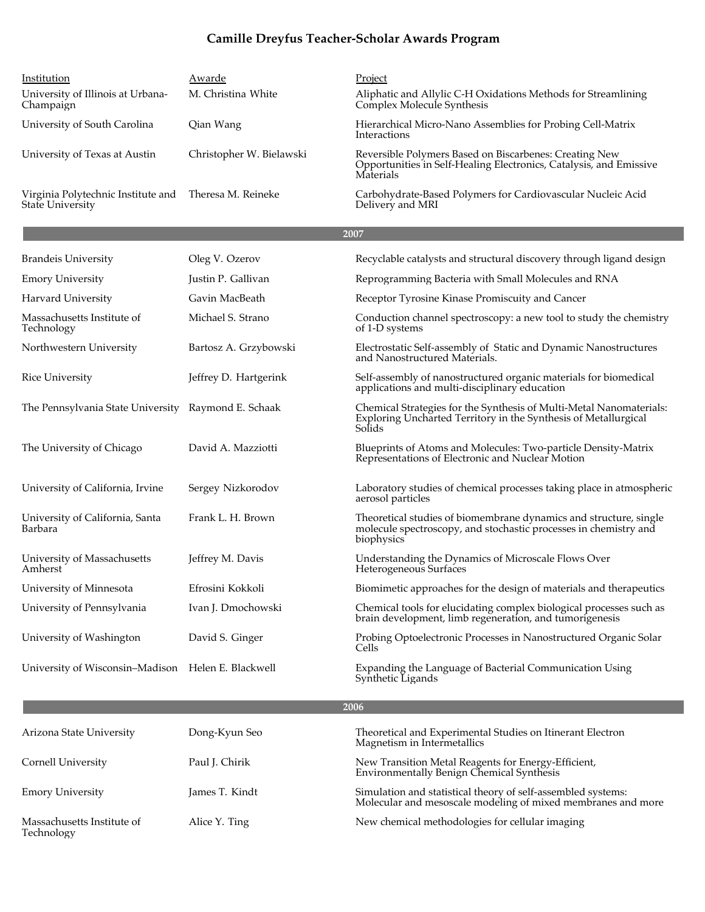| Institution<br>University of Illinois at Urbana-<br>Champaign | Awarde<br>M. Christina White | Project<br>Aliphatic and Allylic C-H Oxidations Methods for Streamlining<br>Complex Molecule Synthesis                                              |
|---------------------------------------------------------------|------------------------------|-----------------------------------------------------------------------------------------------------------------------------------------------------|
| University of South Carolina                                  | Qian Wang                    | Hierarchical Micro-Nano Assemblies for Probing Cell-Matrix<br>Interactions                                                                          |
| University of Texas at Austin                                 | Christopher W. Bielawski     | Reversible Polymers Based on Biscarbenes: Creating New<br>Opportunities in Self-Healing Electronics, Catalysis, and Emissive<br>Materials           |
| Virginia Polytechnic Institute and<br>State University        | Theresa M. Reineke           | Carbohydrate-Based Polymers for Cardiovascular Nucleic Acid<br>Delivery and MRI                                                                     |
|                                                               |                              | 2007                                                                                                                                                |
| <b>Brandeis University</b>                                    | Oleg V. Ozerov               | Recyclable catalysts and structural discovery through ligand design                                                                                 |
| <b>Emory University</b>                                       | Justin P. Gallivan           | Reprogramming Bacteria with Small Molecules and RNA                                                                                                 |
| Harvard University                                            | Gavin MacBeath               | Receptor Tyrosine Kinase Promiscuity and Cancer                                                                                                     |
| Massachusetts Institute of<br>Technology                      | Michael S. Strano            | Conduction channel spectroscopy: a new tool to study the chemistry<br>of 1-D systems                                                                |
| Northwestern University                                       | Bartosz A. Grzybowski        | Electrostatic Self-assembly of Static and Dynamic Nanostructures<br>and Nanostructured Materials.                                                   |
| <b>Rice University</b>                                        | Jeffrey D. Hartgerink        | Self-assembly of nanostructured organic materials for biomedical<br>applications and multi-disciplinary education                                   |
| The Pennsylvania State University Raymond E. Schaak           |                              | Chemical Strategies for the Synthesis of Multi-Metal Nanomaterials:<br>Exploring Uncharted Territory in the Synthesis of Metallurgical<br>Solids    |
| The University of Chicago                                     | David A. Mazziotti           | Blueprints of Atoms and Molecules: Two-particle Density-Matrix<br>Representations of Electronic and Nuclear Motion                                  |
| University of California, Irvine                              | Sergey Nizkorodov            | Laboratory studies of chemical processes taking place in atmospheric<br>aerosol particles                                                           |
| University of California, Santa<br>Barbara                    | Frank L. H. Brown            | Theoretical studies of biomembrane dynamics and structure, single<br>molecule spectroscopy, and stochastic processes in chemistry and<br>biophysics |
| University of Massachusetts<br>Amherst                        | Jeffrey M. Davis             | Understanding the Dynamics of Microscale Flows Over<br>Heterogeneous Surfaces                                                                       |
| University of Minnesota                                       | Efrosini Kokkoli             | Biomimetic approaches for the design of materials and therapeutics                                                                                  |
| University of Pennsylvania                                    | Ivan J. Dmochowski           | Chemical tools for elucidating complex biological processes such as<br>brain development, limb regeneration, and tumorigenesis                      |
| University of Washington                                      | David S. Ginger              | Probing Optoelectronic Processes in Nanostructured Organic Solar<br>Cells                                                                           |
| University of Wisconsin-Madison Helen E. Blackwell            |                              | Expanding the Language of Bacterial Communication Using<br>Synthetic Ligands                                                                        |
|                                                               |                              | 2006                                                                                                                                                |
| Arizona State University                                      | Dong-Kyun Seo                | Theoretical and Experimental Studies on Itinerant Electron<br>Magnetism in Intermetallics                                                           |
| Cornell University                                            | Paul J. Chirik               | New Transition Metal Reagents for Energy-Efficient,<br><b>Environmentally Benign Chemical Synthesis</b>                                             |

James T. Kindt

Massachusetts Institute of

Technology

Emory University **Simulation and statistical theory of self-assembled systems**: Simulation and statistical theory of self-assembled systems: Molecular and mesoscale modeling of mixed membranes and more

Alice Y. Ting New chemical methodologies for cellular imaging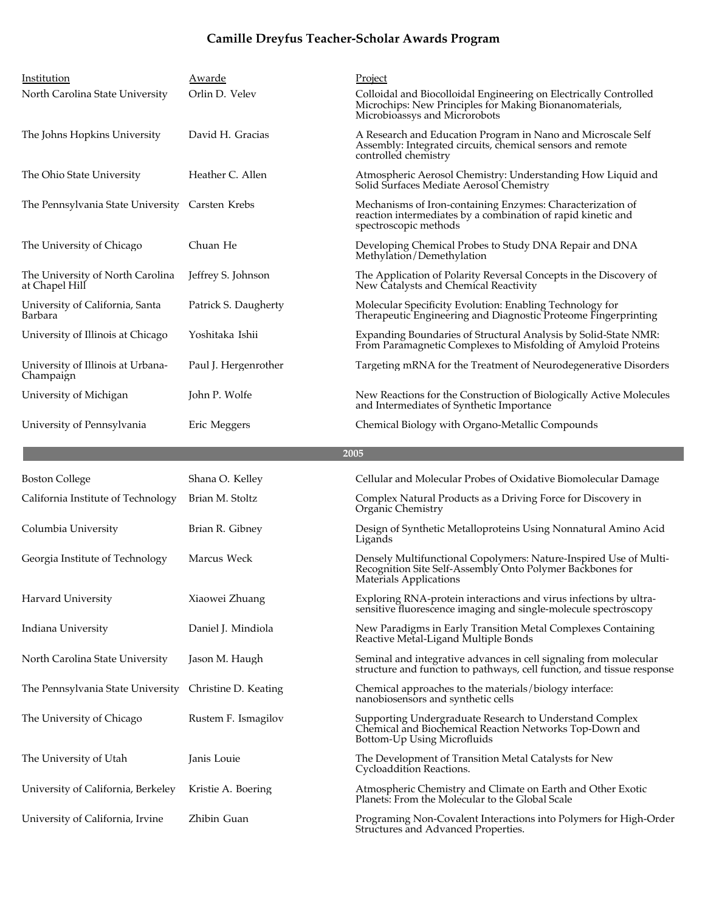| Institution                                            | Awarde               | Project                                                                                                                                                       |
|--------------------------------------------------------|----------------------|---------------------------------------------------------------------------------------------------------------------------------------------------------------|
| North Carolina State University                        | Orlin D. Velev       | Colloidal and Biocolloidal Engineering on Electrically Controlled<br>Microchips: New Principles for Making Bionanomaterials,<br>Microbioassys and Microrobots |
| The Johns Hopkins University                           | David H. Gracias     | A Research and Education Program in Nano and Microscale Self<br>Assembly: Integrated circuits, chemical sensors and remote<br>controlled chemistry            |
| The Ohio State University                              | Heather C. Allen     | Atmospheric Aerosol Chemistry: Understanding How Liquid and<br>Solid Surfaces Mediate Aerosol Chemistry                                                       |
| The Pennsylvania State University Carsten Krebs        |                      | Mechanisms of Iron-containing Enzymes: Characterization of<br>reaction intermediates by a combination of rapid kinetic and<br>spectroscopic methods           |
| The University of Chicago                              | Chuan He             | Developing Chemical Probes to Study DNA Repair and DNA<br>Methylation/Demethylation                                                                           |
| The University of North Carolina<br>at Chapel Hill     | Jeffrey S. Johnson   | The Application of Polarity Reversal Concepts in the Discovery of<br>New Catalysts and Chemical Reactivity                                                    |
| University of California, Santa<br>Barbara             | Patrick S. Daugherty | Molecular Specificity Evolution: Enabling Technology for<br>Therapeutic Engineering and Diagnostic Proteome Fingerprinting                                    |
| University of Illinois at Chicago                      | Yoshitaka Ishii      | Expanding Boundaries of Structural Analysis by Solid-State NMR:<br>From Paramagnetic Complexes to Misfolding of Amyloid Proteins                              |
| University of Illinois at Urbana-<br>Champaign         | Paul J. Hergenrother | Targeting mRNA for the Treatment of Neurodegenerative Disorders                                                                                               |
| University of Michigan                                 | John P. Wolfe        | New Reactions for the Construction of Biologically Active Molecules<br>and Intermediates of Synthetic Importance                                              |
| University of Pennsylvania                             | Eric Meggers         | Chemical Biology with Organo-Metallic Compounds                                                                                                               |
|                                                        |                      |                                                                                                                                                               |
|                                                        |                      | 2005                                                                                                                                                          |
| <b>Boston College</b>                                  | Shana O. Kelley      | Cellular and Molecular Probes of Oxidative Biomolecular Damage                                                                                                |
| California Institute of Technology                     | Brian M. Stoltz      | Complex Natural Products as a Driving Force for Discovery in<br>Organic Chemistry                                                                             |
| Columbia University                                    | Brian R. Gibney      | Design of Synthetic Metalloproteins Using Nonnatural Amino Acid<br>Ligands                                                                                    |
| Georgia Institute of Technology                        | Marcus Weck          | Densely Multifunctional Copolymers: Nature-Inspired Use of Multi-<br>Recognition Site Self-Assembly Onto Polymer Backbones for<br>Materials Applications      |
| Harvard University                                     | Xiaowei Zhuang       | Exploring RNA-protein interactions and virus infections by ultra-<br>sensitive fluorescence imaging and single-molecule spectroscopy                          |
| Indiana University                                     | Daniel J. Mindiola   | New Paradigms in Early Transition Metal Complexes Containing<br>Reactive Metal-Ligand Multiple Bonds                                                          |
| North Carolina State University                        | Jason M. Haugh       | Seminal and integrative advances in cell signaling from molecular<br>structure and function to pathways, cell function, and tissue response                   |
| The Pennsylvania State University Christine D. Keating |                      | Chemical approaches to the materials/biology interface:<br>nanobiosensors and synthetic cells                                                                 |
| The University of Chicago                              | Rustem F. Ismagilov  | Supporting Undergraduate Research to Understand Complex<br>Chemical and Biochemical Reaction Networks Top-Down and<br>Bottom-Up Using Microfluids             |
| The University of Utah                                 | Janis Louie          | The Development of Transition Metal Catalysts for New<br>Cycloaddition Reactions.                                                                             |
| University of California, Berkeley                     | Kristie A. Boering   | Atmospheric Chemistry and Climate on Earth and Other Exotic<br>Planets: From the Molecular to the Global Scale                                                |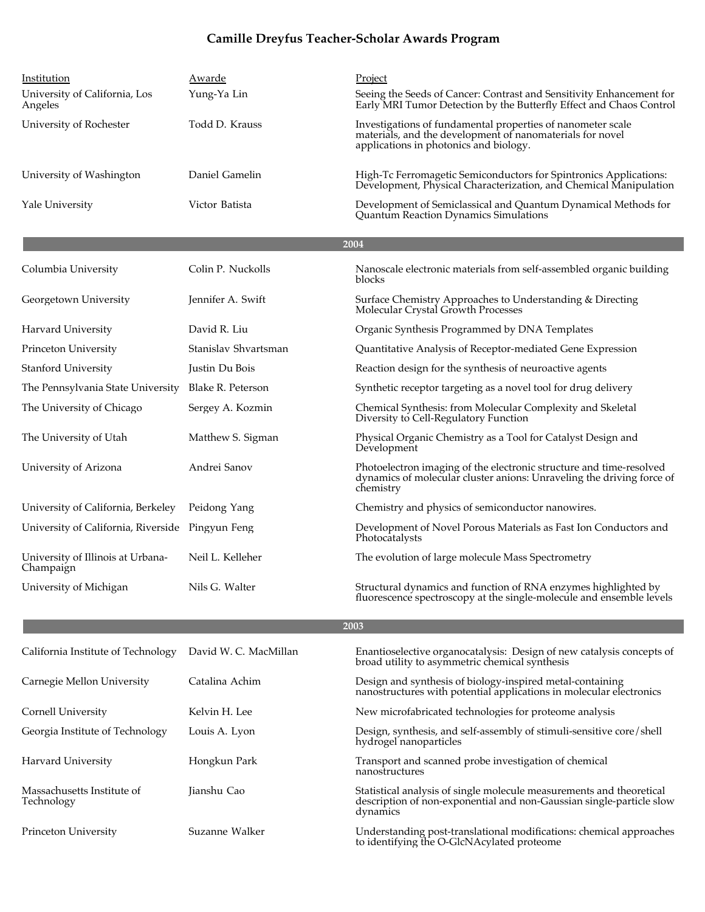| Institution                                      | Awarde                | Project                                                                                                                                                            |
|--------------------------------------------------|-----------------------|--------------------------------------------------------------------------------------------------------------------------------------------------------------------|
| University of California, Los<br>Angeles         | Yung-Ya Lin           | Seeing the Seeds of Cancer: Contrast and Sensitivity Enhancement for<br>Early MRI Tumor Detection by the Butterfly Effect and Chaos Control                        |
| University of Rochester                          | Todd D. Krauss        | Investigations of fundamental properties of nanometer scale<br>materials, and the development of nanomaterials for novel<br>applications in photonics and biology. |
| University of Washington                         | Daniel Gamelin        | High-Tc Ferromagetic Semiconductors for Spintronics Applications:<br>Development, Physical Characterization, and Chemical Manipulation                             |
| Yale University                                  | Victor Batista        | Development of Semiclassical and Quantum Dynamical Methods for<br>Quantum Reaction Dynamics Simulations                                                            |
|                                                  |                       | 2004                                                                                                                                                               |
| Columbia University                              | Colin P. Nuckolls     | Nanoscale electronic materials from self-assembled organic building<br>blocks                                                                                      |
| Georgetown University                            | Jennifer A. Swift     | Surface Chemistry Approaches to Understanding & Directing<br>Molecular Crystal Growth Processes                                                                    |
| Harvard University                               | David R. Liu          | Organic Synthesis Programmed by DNA Templates                                                                                                                      |
| Princeton University                             | Stanislav Shvartsman  | Quantitative Analysis of Receptor-mediated Gene Expression                                                                                                         |
| <b>Stanford University</b>                       | Justin Du Bois        | Reaction design for the synthesis of neuroactive agents                                                                                                            |
| The Pennsylvania State University                | Blake R. Peterson     | Synthetic receptor targeting as a novel tool for drug delivery                                                                                                     |
| The University of Chicago                        | Sergey A. Kozmin      | Chemical Synthesis: from Molecular Complexity and Skeletal<br>Diversity to Cell-Regulatory Function                                                                |
| The University of Utah                           | Matthew S. Sigman     | Physical Organic Chemistry as a Tool for Catalyst Design and<br>Development                                                                                        |
| University of Arizona                            | Andrei Sanov          | Photoelectron imaging of the electronic structure and time-resolved<br>dynamics of molecular cluster anions: Unraveling the driving force of<br>chemistry          |
| University of California, Berkeley               | Peidong Yang          | Chemistry and physics of semiconductor nanowires.                                                                                                                  |
| University of California, Riverside Pingyun Feng |                       | Development of Novel Porous Materials as Fast Ion Conductors and<br>Photocatalysts                                                                                 |
| University of Illinois at Urbana-<br>Champaign   | Neil L. Kelleher      | The evolution of large molecule Mass Spectrometry                                                                                                                  |
| University of Michigan                           | Nils G. Walter        | Structural dynamics and function of RNA enzymes highlighted by<br>fluorescence spectroscopy at the single-molecule and ensemble levels                             |
|                                                  |                       | 2003                                                                                                                                                               |
| California Institute of Technology               | David W. C. MacMillan | Enantioselective organocatalysis: Design of new catalysis concepts of<br>broad utility to asymmetric chemical synthesis                                            |
| Carnegie Mellon University                       | Catalina Achim        | Design and synthesis of biology-inspired metal-containing<br>nanostructures with potential applications in molecular electronics                                   |
| Cornell University                               | Kelvin H. Lee         | New microfabricated technologies for proteome analysis                                                                                                             |
| Georgia Institute of Technology                  | Louis A. Lyon         | Design, synthesis, and self-assembly of stimuli-sensitive core/shell<br>hydrogel nanoparticles                                                                     |
| Harvard University                               | Hongkun Park          | Transport and scanned probe investigation of chemical<br>nanostructures                                                                                            |
| Massachusetts Institute of<br>Technology         | Jianshu Cao           | Statistical analysis of single molecule measurements and theoretical<br>description of non-exponential and non-Gaussian single-particle slow<br>dynamics           |
| Princeton University                             | Suzanne Walker        | Understanding post-translational modifications: chemical approaches<br>to identifying the O-GlcNAcylated proteome                                                  |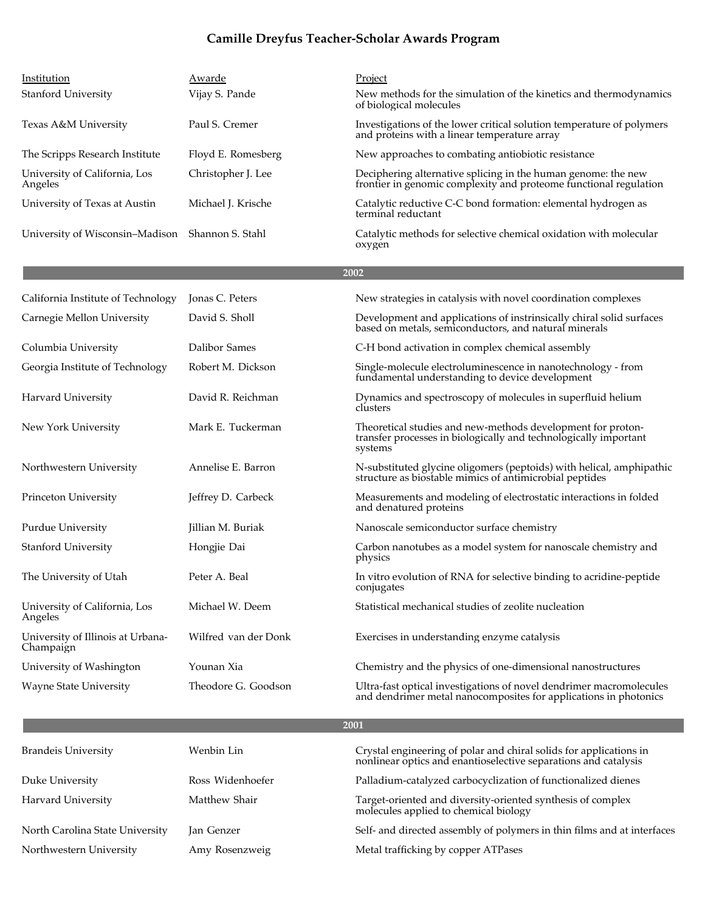| Institution                                    | Awarde               | Project                                                                                                                                    |
|------------------------------------------------|----------------------|--------------------------------------------------------------------------------------------------------------------------------------------|
| <b>Stanford University</b>                     | Vijay S. Pande       | New methods for the simulation of the kinetics and thermodynamics<br>of biological molecules                                               |
| Texas A&M University                           | Paul S. Cremer       | Investigations of the lower critical solution temperature of polymers<br>and proteins with a linear temperature array                      |
| The Scripps Research Institute                 | Floyd E. Romesberg   | New approaches to combating antiobiotic resistance                                                                                         |
| University of California, Los<br>Angeles       | Christopher J. Lee   | Deciphering alternative splicing in the human genome: the new<br>frontier in genomic complexity and proteome functional regulation         |
| University of Texas at Austin                  | Michael J. Krische   | Catalytic reductive C-C bond formation: elemental hydrogen as<br>terminal reductant                                                        |
| University of Wisconsin–Madison                | Shannon S. Stahl     | Catalytic methods for selective chemical oxidation with molecular<br>oxygen                                                                |
|                                                |                      | 2002                                                                                                                                       |
| California Institute of Technology             | Jonas C. Peters      | New strategies in catalysis with novel coordination complexes                                                                              |
| Carnegie Mellon University                     | David S. Sholl       | Development and applications of instrinsically chiral solid surfaces<br>based on metals, semiconductors, and natural minerals              |
| Columbia University                            | Dalibor Sames        | C-H bond activation in complex chemical assembly                                                                                           |
| Georgia Institute of Technology                | Robert M. Dickson    | Single-molecule electroluminescence in nanotechnology - from<br>fundamental understanding to device development                            |
| Harvard University                             | David R. Reichman    | Dynamics and spectroscopy of molecules in superfluid helium<br>clusters                                                                    |
| New York University                            | Mark E. Tuckerman    | Theoretical studies and new-methods development for proton-<br>transfer processes in biologically and technologically important<br>systems |
| Northwestern University                        | Annelise E. Barron   | N-substituted glycine oligomers (peptoids) with helical, amphipathic structure as biostable mimics of antimicrobial peptides               |
| Princeton University                           | Jeffrey D. Carbeck   | Measurements and modeling of electrostatic interactions in folded<br>and denatured proteins                                                |
| Purdue University                              | Jillian M. Buriak    | Nanoscale semiconductor surface chemistry                                                                                                  |
| <b>Stanford University</b>                     | Hongjie Dai          | Carbon nanotubes as a model system for nanoscale chemistry and<br>physics                                                                  |
| The University of Utah                         | Peter A. Beal        | In vitro evolution of RNA for selective binding to acridine-peptide<br>conjugates                                                          |
| University of California, Los<br>Angeles       | Michael W. Deem      | Statistical mechanical studies of zeolite nucleation                                                                                       |
| University of Illinois at Urbana-<br>Champaign | Wilfred van der Donk | Exercises in understanding enzyme catalysis                                                                                                |
| University of Washington                       | Younan Xia           | Chemistry and the physics of one-dimensional nanostructures                                                                                |
| <b>Wayne State University</b>                  | Theodore G. Goodson  | Ultra-fast optical investigations of novel dendrimer macromolecules<br>and dendrimer metal nanocomposites for applications in photonics    |
|                                                |                      | 2001                                                                                                                                       |
| <b>Brandeis University</b>                     | Wenbin Lin           | Crystal engineering of polar and chiral solids for applications in<br>nonlinear optics and enantioselective separations and catalysis      |
| Duke University                                | Ross Widenhoefer     | Palladium-catalyzed carbocyclization of functionalized dienes                                                                              |
| Harvard University                             | Matthew Shair        | Target-oriented and diversity-oriented synthesis of complex                                                                                |

North Carolina State University Jan Genzer Self- and directed assembly of polymers in thin films and at interfaces

Northwestern University Amy Rosenzweig Metal trafficking by copper ATPases

molecules applied to chemical biology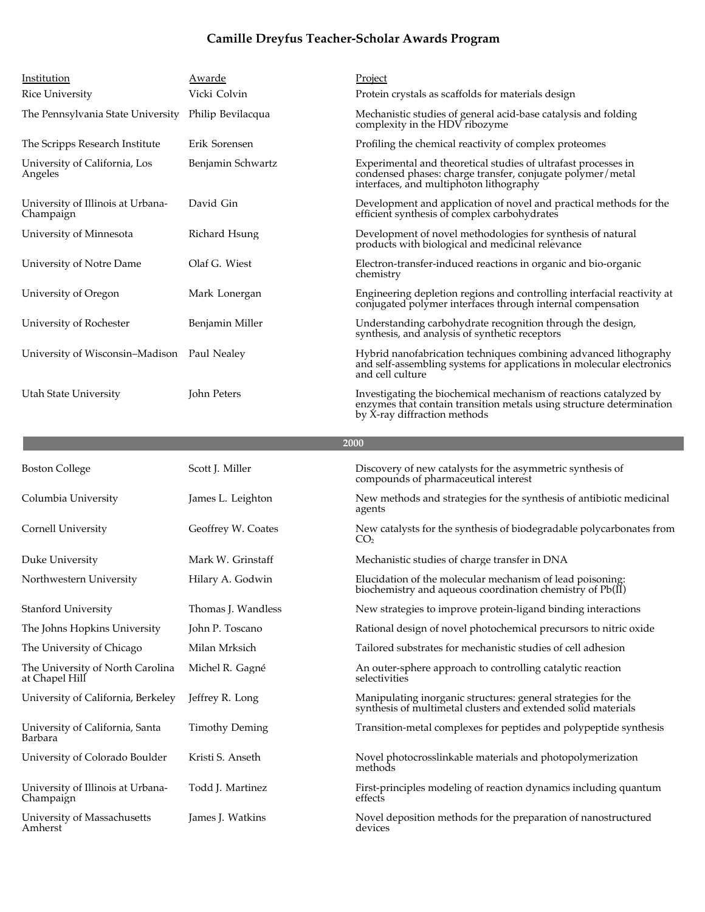| Institution<br>Rice University                     | Awarde<br>Vicki Colvin | Project<br>Protein crystals as scaffolds for materials design                                                                                                             |
|----------------------------------------------------|------------------------|---------------------------------------------------------------------------------------------------------------------------------------------------------------------------|
| The Pennsylvania State University                  | Philip Bevilacqua      | Mechanistic studies of general acid-base catalysis and folding<br>complexity in the HDV ribozyme                                                                          |
| The Scripps Research Institute                     | Erik Sorensen          | Profiling the chemical reactivity of complex proteomes                                                                                                                    |
| University of California, Los<br>Angeles           | Benjamin Schwartz      | Experimental and theoretical studies of ultrafast processes in<br>condensed phases: charge transfer, conjugate polymer/metal<br>interfaces, and multiphoton lithography   |
| University of Illinois at Urbana-<br>Champaign     | David Gin              | Development and application of novel and practical methods for the<br>efficient synthesis of complex carbohydrates                                                        |
| University of Minnesota                            | Richard Hsung          | Development of novel methodologies for synthesis of natural<br>products with biological and medicinal relevance                                                           |
| University of Notre Dame                           | Olaf G. Wiest          | Electron-transfer-induced reactions in organic and bio-organic<br>chemistry                                                                                               |
| University of Oregon                               | Mark Lonergan          | Engineering depletion regions and controlling interfacial reactivity at<br>conjugated polymer interfaces through internal compensation                                    |
| University of Rochester                            | Benjamin Miller        | Understanding carbohydrate recognition through the design,<br>synthesis, and analysis of synthetic receptors                                                              |
| University of Wisconsin–Madison Paul Nealey        |                        | Hybrid nanofabrication techniques combining advanced lithography<br>and self-assembling systems for applications in molecular electronics<br>and cell culture             |
| Utah State University                              | John Peters            | Investigating the biochemical mechanism of reactions catalyzed by<br>enzymes that contain transition metals using structure determination<br>by X-ray diffraction methods |
|                                                    |                        | 2000                                                                                                                                                                      |
|                                                    |                        |                                                                                                                                                                           |
| <b>Boston College</b>                              | Scott J. Miller        | Discovery of new catalysts for the asymmetric synthesis of<br>compounds of pharmaceutical interest                                                                        |
| Columbia University                                | James L. Leighton      | New methods and strategies for the synthesis of antibiotic medicinal<br>agents                                                                                            |
| Cornell University                                 | Geoffrey W. Coates     | New catalysts for the synthesis of biodegradable polycarbonates from<br>CO <sub>2</sub>                                                                                   |
| Duke University                                    | Mark W. Grinstaff      | Mechanistic studies of charge transfer in DNA                                                                                                                             |
| Northwestern University                            | Hilary A. Godwin       | Elucidation of the molecular mechanism of lead poisoning:<br>biochemistry and aqueous coordination chemistry of $Pb(\tilde{II})$                                          |
| <b>Stanford University</b>                         | Thomas J. Wandless     | New strategies to improve protein-ligand binding interactions                                                                                                             |
| The Johns Hopkins University                       | John P. Toscano        | Rational design of novel photochemical precursors to nitric oxide                                                                                                         |
| The University of Chicago                          | Milan Mrksich          | Tailored substrates for mechanistic studies of cell adhesion                                                                                                              |
| The University of North Carolina<br>at Chapel Hill | Michel R. Gagné        | An outer-sphere approach to controlling catalytic reaction<br>selectivities                                                                                               |
| University of California, Berkeley                 | Jeffrey R. Long        | Manipulating inorganic structures: general strategies for the<br>synthesis of multimetal clusters and extended solid materials                                            |
| University of California, Santa<br>Barbara         | <b>Timothy Deming</b>  | Transition-metal complexes for peptides and polypeptide synthesis                                                                                                         |
| University of Colorado Boulder                     | Kristi S. Anseth       | Novel photocrosslinkable materials and photopolymerization<br>methods                                                                                                     |
| University of Illinois at Urbana-<br>Champaign     | Todd J. Martinez       | First-principles modeling of reaction dynamics including quantum<br>effects                                                                                               |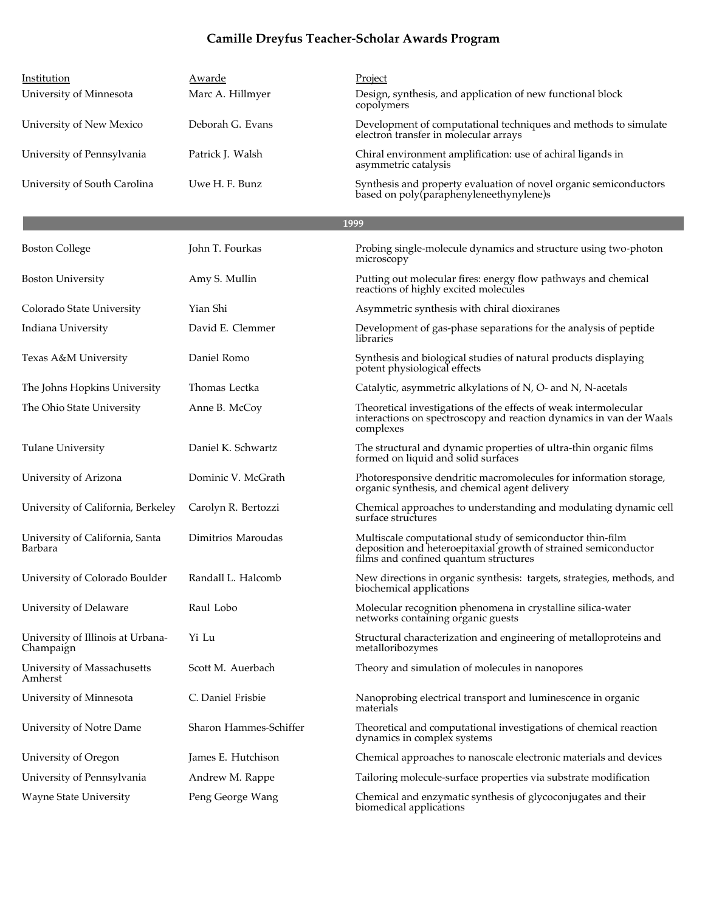| Institution                                    | Awarde                 | Project                                                                                                                                                               |
|------------------------------------------------|------------------------|-----------------------------------------------------------------------------------------------------------------------------------------------------------------------|
| University of Minnesota                        | Marc A. Hillmyer       | Design, synthesis, and application of new functional block<br>copolymers                                                                                              |
| University of New Mexico                       | Deborah G. Evans       | Development of computational techniques and methods to simulate<br>electron transfer in molecular arrays                                                              |
| University of Pennsylvania                     | Patrick J. Walsh       | Chiral environment amplification: use of achiral ligands in<br>asymmetric catalysis                                                                                   |
| University of South Carolina                   | Uwe H. F. Bunz         | Synthesis and property evaluation of novel organic semiconductors<br>based on poly(paraphenyleneethynylene)s                                                          |
|                                                |                        | 1999                                                                                                                                                                  |
| <b>Boston College</b>                          | John T. Fourkas        | Probing single-molecule dynamics and structure using two-photon<br>microscopy                                                                                         |
| <b>Boston University</b>                       | Amy S. Mullin          | Putting out molecular fires: energy flow pathways and chemical<br>reactions of highly excited molecules                                                               |
| Colorado State University                      | Yian Shi               | Asymmetric synthesis with chiral dioxiranes                                                                                                                           |
| Indiana University                             | David E. Clemmer       | Development of gas-phase separations for the analysis of peptide<br>libraries                                                                                         |
| Texas A&M University                           | Daniel Romo            | Synthesis and biological studies of natural products displaying<br>potent physiological effects                                                                       |
| The Johns Hopkins University                   | Thomas Lectka          | Catalytic, asymmetric alkylations of N, O- and N, N-acetals                                                                                                           |
| The Ohio State University                      | Anne B. McCoy          | Theoretical investigations of the effects of weak intermolecular<br>interactions on spectroscopy and reaction dynamics in van der Waals<br>complexes                  |
| <b>Tulane University</b>                       | Daniel K. Schwartz     | The structural and dynamic properties of ultra-thin organic films<br>formed on liquid and solid surfaces                                                              |
| University of Arizona                          | Dominic V. McGrath     | Photoresponsive dendritic macromolecules for information storage,<br>organic synthesis, and chemical agent delivery                                                   |
| University of California, Berkeley             | Carolyn R. Bertozzi    | Chemical approaches to understanding and modulating dynamic cell<br>surface structures                                                                                |
| University of California, Santa<br>Barbara     | Dimitrios Maroudas     | Multiscale computational study of semiconductor thin-film<br>deposition and heteroepitaxial growth of strained semiconductor<br>films and confined quantum structures |
| University of Colorado Boulder                 | Randall L. Halcomb     | New directions in organic synthesis: targets, strategies, methods, and<br>biochemical applications                                                                    |
| University of Delaware                         | Raul Lobo              | Molecular recognition phenomena in crystalline silica-water<br>networks containing organic guests                                                                     |
| University of Illinois at Urbana-<br>Champaign | Yi Lu                  | Structural characterization and engineering of metalloproteins and<br>metalloribozymes                                                                                |
| University of Massachusetts<br>Amherst         | Scott M. Auerbach      | Theory and simulation of molecules in nanopores                                                                                                                       |
| University of Minnesota                        | C. Daniel Frisbie      | Nanoprobing electrical transport and luminescence in organic<br>materials                                                                                             |
| University of Notre Dame                       | Sharon Hammes-Schiffer | Theoretical and computational investigations of chemical reaction<br>dynamics in complex systems                                                                      |
| University of Oregon                           | James E. Hutchison     | Chemical approaches to nanoscale electronic materials and devices                                                                                                     |
| University of Pennsylvania                     | Andrew M. Rappe        | Tailoring molecule-surface properties via substrate modification                                                                                                      |
| <b>Wayne State University</b>                  | Peng George Wang       | Chemical and enzymatic synthesis of glycoconjugates and their<br>biomedical applications                                                                              |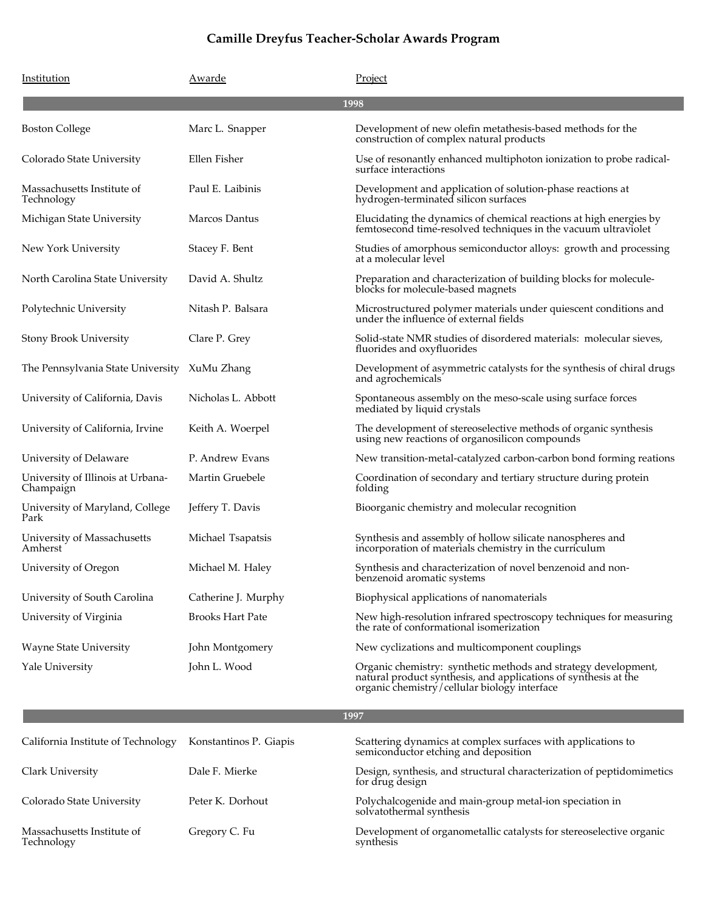| Institution                                    | Awarde                  | Project                                                                                                                                                                           |
|------------------------------------------------|-------------------------|-----------------------------------------------------------------------------------------------------------------------------------------------------------------------------------|
|                                                |                         | 1998                                                                                                                                                                              |
| <b>Boston College</b>                          | Marc L. Snapper         | Development of new olefin metathesis-based methods for the<br>construction of complex natural products                                                                            |
| Colorado State University                      | Ellen Fisher            | Use of resonantly enhanced multiphoton ionization to probe radical-<br>surface interactions                                                                                       |
| Massachusetts Institute of<br>Technology       | Paul E. Laibinis        | Development and application of solution-phase reactions at<br>hydrogen-terminated silicon surfaces                                                                                |
| Michigan State University                      | Marcos Dantus           | Elucidating the dynamics of chemical reactions at high energies by<br>femtosecond time-resolved techniques in the vacuum ultraviolet                                              |
| New York University                            | Stacey F. Bent          | Studies of amorphous semiconductor alloys: growth and processing<br>at a molecular level                                                                                          |
| North Carolina State University                | David A. Shultz         | Preparation and characterization of building blocks for molecule-<br>blocks for molecule-based magnets                                                                            |
| Polytechnic University                         | Nitash P. Balsara       | Microstructured polymer materials under quiescent conditions and<br>under the influence of external fields                                                                        |
| <b>Stony Brook University</b>                  | Clare P. Grey           | Solid-state NMR studies of disordered materials: molecular sieves,<br>fluorides and oxyfluorides                                                                                  |
| The Pennsylvania State University XuMu Zhang   |                         | Development of asymmetric catalysts for the synthesis of chiral drugs<br>and agrochemicals                                                                                        |
| University of California, Davis                | Nicholas L. Abbott      | Spontaneous assembly on the meso-scale using surface forces<br>mediated by liquid crystals                                                                                        |
| University of California, Irvine               | Keith A. Woerpel        | The development of stereoselective methods of organic synthesis<br>using new reactions of organosilicon compounds                                                                 |
| University of Delaware                         | P. Andrew Evans         | New transition-metal-catalyzed carbon-carbon bond forming reations                                                                                                                |
| University of Illinois at Urbana-<br>Champaign | Martin Gruebele         | Coordination of secondary and tertiary structure during protein<br>folding                                                                                                        |
| University of Maryland, College<br>Park        | Jeffery T. Davis        | Bioorganic chemistry and molecular recognition                                                                                                                                    |
| University of Massachusetts<br>Amherst         | Michael Tsapatsis       | Synthesis and assembly of hollow silicate nanospheres and<br>incorporation of materials chemistry in the curriculum                                                               |
| University of Oregon                           | Michael M. Haley        | Synthesis and characterization of novel benzenoid and non-<br>benzenoid aromatic systems                                                                                          |
| University of South Carolina                   | Catherine J. Murphy     | Biophysical applications of nanomaterials                                                                                                                                         |
| University of Virginia                         | <b>Brooks Hart Pate</b> | New high-resolution infrared spectroscopy techniques for measuring<br>the rate of conformational isomerization                                                                    |
| <b>Wayne State University</b>                  | John Montgomery         | New cyclizations and multicomponent couplings                                                                                                                                     |
| Yale University                                | John L. Wood            | Organic chemistry: synthetic methods and strategy development,<br>natural product synthesis, and applications of synthesis at the<br>organic chemistry/cellular biology interface |

| California Institute of Technology       | Konstantinos P. Giapis | Scattering dynamics at complex surfaces with applications to<br>semiconductor etching and deposition |
|------------------------------------------|------------------------|------------------------------------------------------------------------------------------------------|
| Clark University                         | Dale F. Mierke         | Design, synthesis, and structural characterization of peptidomimetics<br>for drug design             |
| Colorado State University                | Peter K. Dorhout       | Polychalcogenide and main-group metal-ion speciation in<br>solvatothermal synthesis                  |
| Massachusetts Institute of<br>Technology | Gregory C. Fu          | Development of organometallic catalysts for stereoselective organic<br>synthesis                     |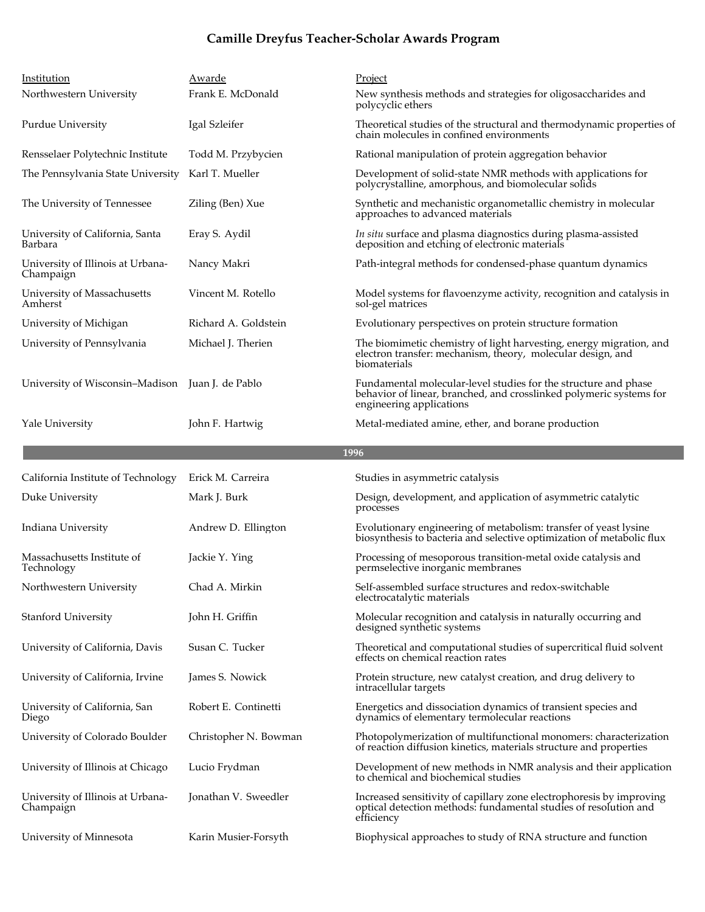| Institution<br>Northwestern University           | Awarde<br>Frank E. McDonald | Project<br>New synthesis methods and strategies for oligosaccharides and                                                                                           |
|--------------------------------------------------|-----------------------------|--------------------------------------------------------------------------------------------------------------------------------------------------------------------|
| Purdue University                                | Igal Szleifer               | polycyclic ethers<br>Theoretical studies of the structural and thermodynamic properties of<br>chain molecules in confined environments                             |
| Rensselaer Polytechnic Institute                 | Todd M. Przybycien          | Rational manipulation of protein aggregation behavior                                                                                                              |
| The Pennsylvania State University                | Karl T. Mueller             | Development of solid-state NMR methods with applications for<br>polycrystalline, amorphous, and biomolecular solids                                                |
| The University of Tennessee                      | Ziling (Ben) Xue            | Synthetic and mechanistic organometallic chemistry in molecular<br>approaches to advanced materials                                                                |
| University of California, Santa<br>Barbara       | Eray S. Aydil               | In situ surface and plasma diagnostics during plasma-assisted<br>deposition and etching of electronic materials                                                    |
| University of Illinois at Urbana-<br>Champaign   | Nancy Makri                 | Path-integral methods for condensed-phase quantum dynamics                                                                                                         |
| University of Massachusetts<br>Amherst           | Vincent M. Rotello          | Model systems for flavoenzyme activity, recognition and catalysis in<br>sol-gel matrices                                                                           |
| University of Michigan                           | Richard A. Goldstein        | Evolutionary perspectives on protein structure formation                                                                                                           |
| University of Pennsylvania                       | Michael J. Therien          | The biomimetic chemistry of light harvesting, energy migration, and<br>electron transfer: mechanism, theory, molecular design, and<br>biomaterials                 |
| University of Wisconsin-Madison Juan J. de Pablo |                             | Fundamental molecular-level studies for the structure and phase<br>behavior of linear, branched, and crosslinked polymeric systems for<br>engineering applications |
| Yale University                                  | John F. Hartwig             | Metal-mediated amine, ether, and borane production                                                                                                                 |
|                                                  |                             | 1996                                                                                                                                                               |
|                                                  |                             |                                                                                                                                                                    |
| California Institute of Technology               | Erick M. Carreira           | Studies in asymmetric catalysis                                                                                                                                    |
| Duke University                                  | Mark J. Burk                | Design, development, and application of asymmetric catalytic<br>processes                                                                                          |
| Indiana University                               | Andrew D. Ellington         | Evolutionary engineering of metabolism: transfer of yeast lysine<br>biosynthesis to bacteria and selective optimization of metabolic flux                          |
| Massachusetts Institute of<br>Technology         | Jackie Y. Ying              | Processing of mesoporous transition-metal oxide catalysis and<br>permselective inorganic membranes                                                                 |
| Northwestern University                          | Chad A. Mirkin              | Self-assembled surface structures and redox-switchable<br>electrocatalytic materials                                                                               |
| Stanford University                              | John H. Griffin             | Molecular recognition and catalysis in naturally occurring and<br>designed synthetic systems                                                                       |
| University of California, Davis                  | Susan C. Tucker             | Theoretical and computational studies of supercritical fluid solvent<br>effects on chemical reaction rates                                                         |
| University of California, Irvine                 | James S. Nowick             | Protein structure, new catalyst creation, and drug delivery to<br>intracellular targets                                                                            |
| University of California, San<br>Diego           | Robert E. Continetti        | Energetics and dissociation dynamics of transient species and<br>dynamics of elementary termolecular reactions                                                     |
| University of Colorado Boulder                   | Christopher N. Bowman       | Photopolymerization of multifunctional monomers: characterization<br>of reaction diffusion kinetics, materials structure and properties                            |
| University of Illinois at Chicago                | Lucio Frydman               | Development of new methods in NMR analysis and their application<br>to chemical and biochemical studies                                                            |
| University of Illinois at Urbana-<br>Champaign   | Jonathan V. Sweedler        | Increased sensitivity of capillary zone electrophoresis by improving<br>optical detection methods: fundamental studies of resolution and<br>efficiency             |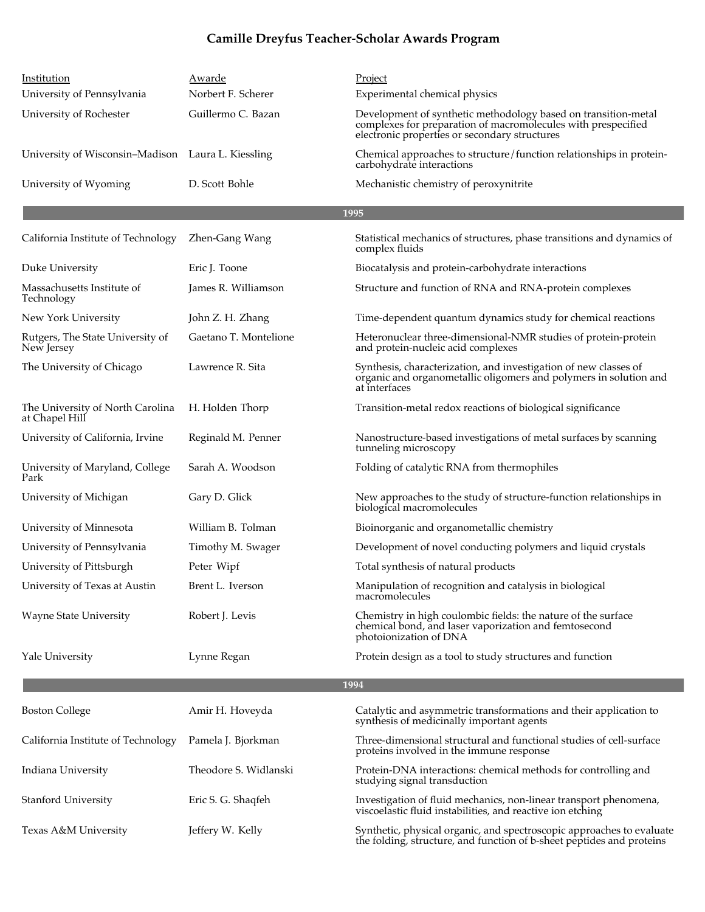| Institution<br>University of Pennsylvania          | Awarde<br>Norbert F. Scherer | Project<br>Experimental chemical physics                                                                                                                                         |  |  |
|----------------------------------------------------|------------------------------|----------------------------------------------------------------------------------------------------------------------------------------------------------------------------------|--|--|
| University of Rochester                            | Guillermo C. Bazan           | Development of synthetic methodology based on transition-metal<br>complexes for preparation of macromolecules with prespecified<br>electronic properties or secondary structures |  |  |
| University of Wisconsin–Madison Laura L. Kiessling |                              | Chemical approaches to structure/function relationships in protein-<br>carbohydrate interactions                                                                                 |  |  |
| University of Wyoming                              | D. Scott Bohle               | Mechanistic chemistry of peroxynitrite                                                                                                                                           |  |  |
|                                                    |                              | 1995                                                                                                                                                                             |  |  |
| California Institute of Technology                 | Zhen-Gang Wang               | Statistical mechanics of structures, phase transitions and dynamics of<br>complex fluids                                                                                         |  |  |
| Duke University                                    | Eric J. Toone                | Biocatalysis and protein-carbohydrate interactions                                                                                                                               |  |  |
| Massachusetts Institute of<br>Technology           | James R. Williamson          | Structure and function of RNA and RNA-protein complexes                                                                                                                          |  |  |
| New York University                                | John Z. H. Zhang             | Time-dependent quantum dynamics study for chemical reactions                                                                                                                     |  |  |
| Rutgers, The State University of<br>New Jersey     | Gaetano T. Montelione        | Heteronuclear three-dimensional-NMR studies of protein-protein<br>and protein-nucleic acid complexes                                                                             |  |  |
| The University of Chicago                          | Lawrence R. Sita             | Synthesis, characterization, and investigation of new classes of<br>organic and organometallic oligomers and polymers in solution and<br>at interfaces                           |  |  |
| The University of North Carolina<br>at Chapel Hill | H. Holden Thorp              | Transition-metal redox reactions of biological significance                                                                                                                      |  |  |
| University of California, Irvine                   | Reginald M. Penner           | Nanostructure-based investigations of metal surfaces by scanning<br>tunneling microscopy                                                                                         |  |  |
| University of Maryland, College<br>Park            | Sarah A. Woodson             | Folding of catalytic RNA from thermophiles                                                                                                                                       |  |  |
| University of Michigan                             | Gary D. Glick                | New approaches to the study of structure-function relationships in<br>biological macromolecules                                                                                  |  |  |
| University of Minnesota                            | William B. Tolman            | Bioinorganic and organometallic chemistry                                                                                                                                        |  |  |
| University of Pennsylvania                         | Timothy M. Swager            | Development of novel conducting polymers and liquid crystals                                                                                                                     |  |  |
| University of Pittsburgh                           | Peter Wipf                   | Total synthesis of natural products                                                                                                                                              |  |  |
| University of Texas at Austin                      | Brent L. Iverson             | Manipulation of recognition and catalysis in biological<br>macromolecules                                                                                                        |  |  |
| <b>Wayne State University</b>                      | Robert J. Levis              | Chemistry in high coulombic fields: the nature of the surface<br>chemical bond, and laser vaporization and femtosecond<br>photoionization of DNA                                 |  |  |
| Yale University                                    | Lynne Regan                  | Protein design as a tool to study structures and function                                                                                                                        |  |  |
|                                                    | 1994                         |                                                                                                                                                                                  |  |  |
| <b>Boston College</b>                              | Amir H. Hoveyda              | Catalytic and asymmetric transformations and their application to<br>synthesis of medicinally important agents                                                                   |  |  |
| California Institute of Technology                 | Pamela J. Bjorkman           | Three-dimensional structural and functional studies of cell-surface<br>proteins involved in the immune response                                                                  |  |  |
| Indiana University                                 | Theodore S. Widlanski        | Protein-DNA interactions: chemical methods for controlling and<br>studying signal transduction                                                                                   |  |  |
| Stanford University                                | Eric S. G. Shaqfeh           | Investigation of fluid mechanics, non-linear transport phenomena,<br>viscoelastic fluid instabilities, and reactive ion etching                                                  |  |  |
| Texas A&M University                               | Jeffery W. Kelly             | Synthetic, physical organic, and spectroscopic approaches to evaluate<br>the folding, structure, and function of b-sheet peptides and proteins                                   |  |  |